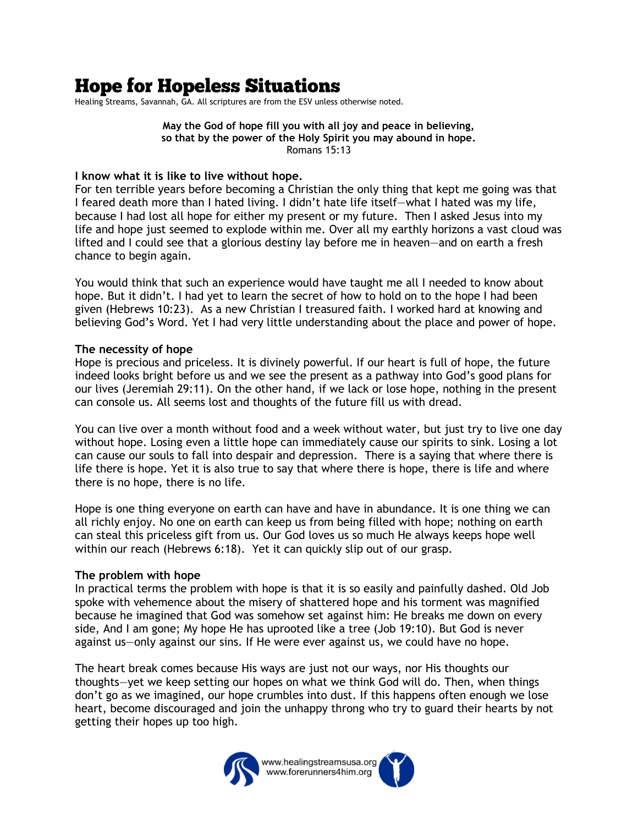# **Hope for Hopeless Situations**

Healing Streams, Savannah, GA. All scriptures are from the ESV unless otherwise noted.

**May the God of hope fill you with all joy and peace in believing, so that by the power of the Holy Spirit you may abound in hope.** Romans 15:13

#### **I know what it is like to live without hope.**

For ten terrible years before becoming a Christian the only thing that kept me going was that I feared death more than I hated living. I didn't hate life itself—what I hated was my life, because I had lost all hope for either my present or my future. Then I asked Jesus into my life and hope just seemed to explode within me. Over all my earthly horizons a vast cloud was lifted and I could see that a glorious destiny lay before me in heaven—and on earth a fresh chance to begin again.

You would think that such an experience would have taught me all I needed to know about hope. But it didn't. I had yet to learn the secret of how to hold on to the hope I had been given (Hebrews 10:23). As a new Christian I treasured faith. I worked hard at knowing and believing God's Word. Yet I had very little understanding about the place and power of hope.

## **The necessity of hope**

Hope is precious and priceless. It is divinely powerful. If our heart is full of hope, the future indeed looks bright before us and we see the present as a pathway into God's good plans for our lives (Jeremiah 29:11). On the other hand, if we lack or lose hope, nothing in the present can console us. All seems lost and thoughts of the future fill us with dread.

You can live over a month without food and a week without water, but just try to live one day without hope. Losing even a little hope can immediately cause our spirits to sink. Losing a lot can cause our souls to fall into despair and depression. There is a saying that where there is life there is hope. Yet it is also true to say that where there is hope, there is life and where there is no hope, there is no life.

Hope is one thing everyone on earth can have and have in abundance. It is one thing we can all richly enjoy. No one on earth can keep us from being filled with hope; nothing on earth can steal this priceless gift from us. Our God loves us so much He always keeps hope well within our reach (Hebrews 6:18). Yet it can quickly slip out of our grasp.

### **The problem with hope**

In practical terms the problem with hope is that it is so easily and painfully dashed. Old Job spoke with vehemence about the misery of shattered hope and his torment was magnified because he imagined that God was somehow set against him: He breaks me down on every side, And I am gone; My hope He has uprooted like a tree (Job 19:10). But God is never against us—only against our sins. If He were ever against us, we could have no hope.

The heart break comes because His ways are just not our ways, nor His thoughts our thoughts—yet we keep setting our hopes on what we think God will do. Then, when things don't go as we imagined, our hope crumbles into dust. If this happens often enough we lose heart, become discouraged and join the unhappy throng who try to guard their hearts by not getting their hopes up too high.

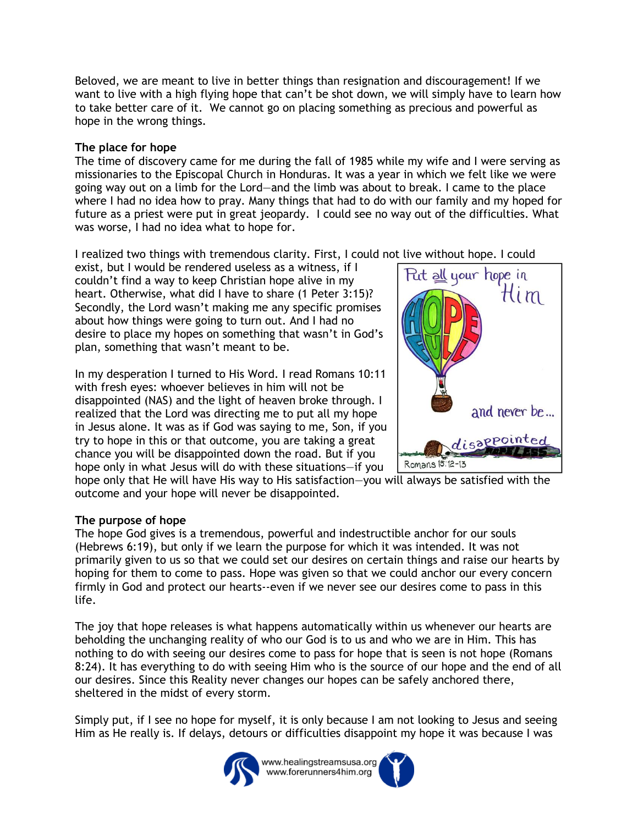Beloved, we are meant to live in better things than resignation and discouragement! If we want to live with a high flying hope that can't be shot down, we will simply have to learn how to take better care of it. We cannot go on placing something as precious and powerful as hope in the wrong things.

## **The place for hope**

The time of discovery came for me during the fall of 1985 while my wife and I were serving as missionaries to the Episcopal Church in Honduras. It was a year in which we felt like we were going way out on a limb for the Lord—and the limb was about to break. I came to the place where I had no idea how to pray. Many things that had to do with our family and my hoped for future as a priest were put in great jeopardy. I could see no way out of the difficulties. What was worse, I had no idea what to hope for.

I realized two things with tremendous clarity. First, I could not live without hope. I could

exist, but I would be rendered useless as a witness, if I couldn't find a way to keep Christian hope alive in my heart. Otherwise, what did I have to share (1 Peter 3:15)? Secondly, the Lord wasn't making me any specific promises about how things were going to turn out. And I had no desire to place my hopes on something that wasn't in God's plan, something that wasn't meant to be.

In my desperation I turned to His Word. I read Romans 10:11 with fresh eyes: whoever believes in him will not be disappointed (NAS) and the light of heaven broke through. I realized that the Lord was directing me to put all my hope in Jesus alone. It was as if God was saying to me, Son, if you try to hope in this or that outcome, you are taking a great chance you will be disappointed down the road. But if you hope only in what Jesus will do with these situations—if you



hope only that He will have His way to His satisfaction—you will always be satisfied with the outcome and your hope will never be disappointed.

# **The purpose of hope**

The hope God gives is a tremendous, powerful and indestructible anchor for our souls (Hebrews 6:19), but only if we learn the purpose for which it was intended. It was not primarily given to us so that we could set our desires on certain things and raise our hearts by hoping for them to come to pass. Hope was given so that we could anchor our every concern firmly in God and protect our hearts--even if we never see our desires come to pass in this life.

The joy that hope releases is what happens automatically within us whenever our hearts are beholding the unchanging reality of who our God is to us and who we are in Him. This has nothing to do with seeing our desires come to pass for hope that is seen is not hope (Romans 8:24). It has everything to do with seeing Him who is the source of our hope and the end of all our desires. Since this Reality never changes our hopes can be safely anchored there, sheltered in the midst of every storm.

Simply put, if I see no hope for myself, it is only because I am not looking to Jesus and seeing Him as He really is. If delays, detours or difficulties disappoint my hope it was because I was